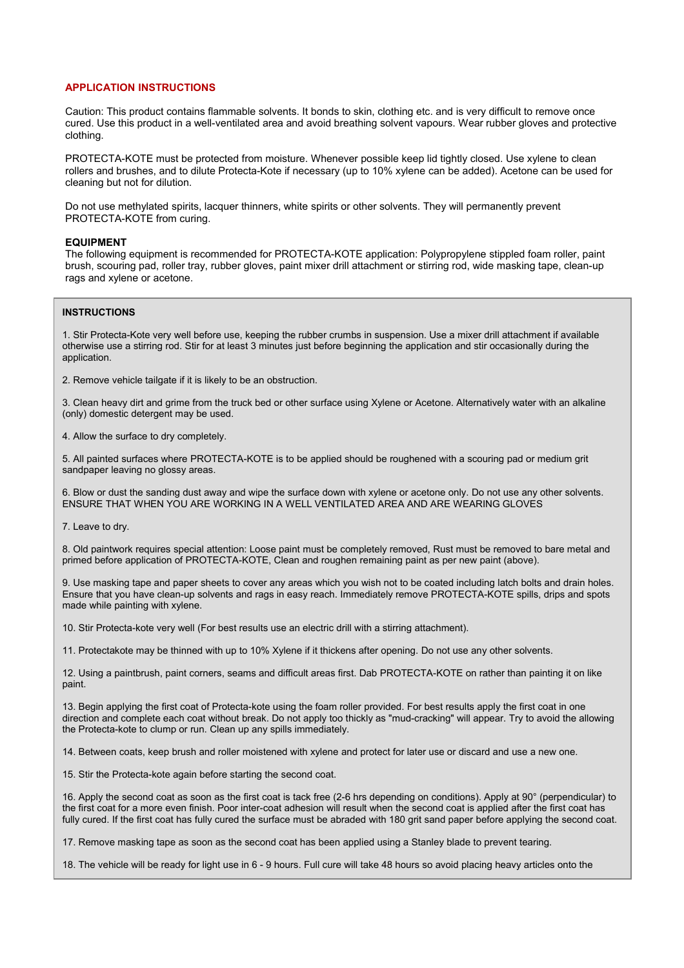### **APPLICATION INSTRUCTIONS**

Caution: This product contains flammable solvents. It bonds to skin, clothing etc. and is very difficult to remove once cured. Use this product in a well-ventilated area and avoid breathing solvent vapours. Wear rubber gloves and protective clothing.

PROTECTA-KOTE must be protected from moisture. Whenever possible keep lid tightly closed. Use xylene to clean rollers and brushes, and to dilute Protecta-Kote if necessary (up to 10% xylene can be added). Acetone can be used for cleaning but not for dilution.

Do not use methylated spirits, lacquer thinners, white spirits or other solvents. They will permanently prevent PROTECTA-KOTE from curing.

#### **EQUIPMENT**

The following equipment is recommended for PROTECTA-KOTE application: Polypropylene stippled foam roller, paint brush, scouring pad, roller tray, rubber gloves, paint mixer drill attachment or stirring rod, wide masking tape, clean-up rags and xylene or acetone.

#### **INSTRUCTIONS**

1. Stir Protecta-Kote very well before use, keeping the rubber crumbs in suspension. Use a mixer drill attachment if available otherwise use a stirring rod. Stir for at least 3 minutes just before beginning the application and stir occasionally during the application.

2. Remove vehicle tailgate if it is likely to be an obstruction.

3. Clean heavy dirt and grime from the truck bed or other surface using Xylene or Acetone. Alternatively water with an alkaline (only) domestic detergent may be used.

4. Allow the surface to dry completely.

5. All painted surfaces where PROTECTA-KOTE is to be applied should be roughened with a scouring pad or medium grit sandpaper leaving no glossy areas.

6. Blow or dust the sanding dust away and wipe the surface down with xylene or acetone only. Do not use any other solvents. ENSURE THAT WHEN YOU ARE WORKING IN A WELL VENTILATED AREA AND ARE WEARING GLOVES

7. Leave to dry.

8. Old paintwork requires special attention: Loose paint must be completely removed, Rust must be removed to bare metal and primed before application of PROTECTA-KOTE, Clean and roughen remaining paint as per new paint (above).

9. Use masking tape and paper sheets to cover any areas which you wish not to be coated including latch bolts and drain holes. Ensure that you have clean-up solvents and rags in easy reach. Immediately remove PROTECTA-KOTE spills, drips and spots made while painting with xylene.

10. Stir Protecta-kote very well (For best results use an electric drill with a stirring attachment).

11. Protectakote may be thinned with up to 10% Xylene if it thickens after opening. Do not use any other solvents.

12. Using a paintbrush, paint corners, seams and difficult areas first. Dab PROTECTA-KOTE on rather than painting it on like paint.

13. Begin applying the first coat of Protecta-kote using the foam roller provided. For best results apply the first coat in one direction and complete each coat without break. Do not apply too thickly as "mud-cracking" will appear. Try to avoid the allowing the Protecta-kote to clump or run. Clean up any spills immediately.

14. Between coats, keep brush and roller moistened with xylene and protect for later use or discard and use a new one.

15. Stir the Protecta-kote again before starting the second coat.

16. Apply the second coat as soon as the first coat is tack free (2-6 hrs depending on conditions). Apply at 90° (perpendicular) to the first coat for a more even finish. Poor inter-coat adhesion will result when the second coat is applied after the first coat has fully cured. If the first coat has fully cured the surface must be abraded with 180 grit sand paper before applying the second coat.

17. Remove masking tape as soon as the second coat has been applied using a Stanley blade to prevent tearing.

18. The vehicle will be ready for light use in 6 - 9 hours. Full cure will take 48 hours so avoid placing heavy articles onto the